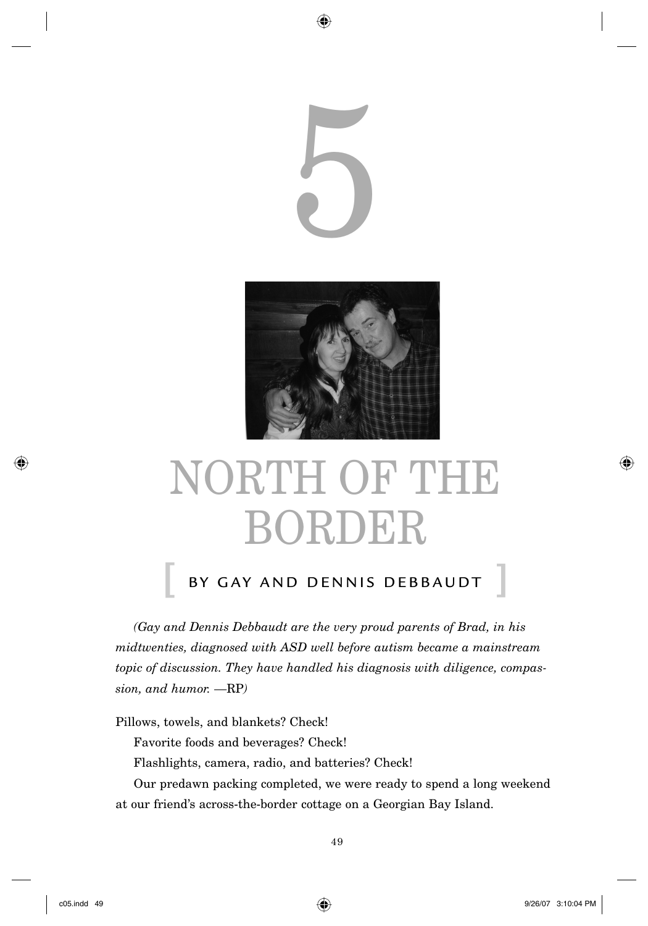

⊕



# NORTH OF THE BORDER

## **BY GAY AND DENNIS DEBBAUDT**

*(Gay and Dennis Debbaudt are the very proud parents of Brad, in his midtwenties, diagnosed with ASD well before autism became a mainstream topic of discussion. They have handled his diagnosis with diligence, compassion, and humor.*  $-RP$ *)* 

Pillows, towels, and blankets? Check!

Favorite foods and beverages? Check!

Flashlights, camera, radio, and batteries? Check!

Our predawn packing completed, we were ready to spend a long weekend at our friend's across-the-border cottage on a Georgian Bay Island.

↔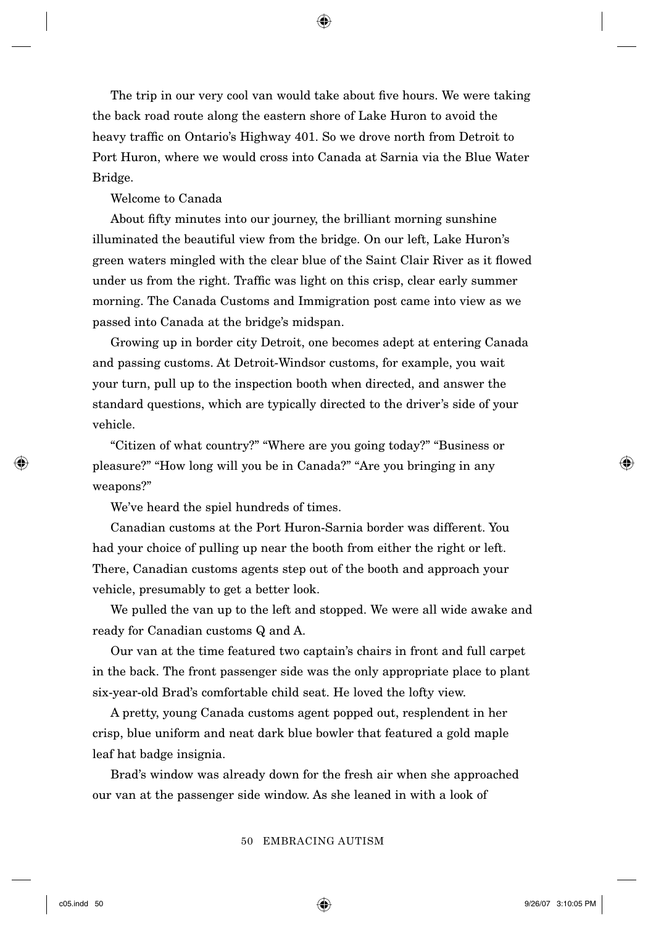The trip in our very cool van would take about five hours. We were taking the back road route along the eastern shore of Lake Huron to avoid the heavy traffic on Ontario's Highway 401. So we drove north from Detroit to Port Huron, where we would cross into Canada at Sarnia via the Blue Water Bridge.

⊕

Welcome to Canada

About fifty minutes into our journey, the brilliant morning sunshine illuminated the beautiful view from the bridge. On our left, Lake Huron's green waters mingled with the clear blue of the Saint Clair River as it flowed under us from the right. Traffic was light on this crisp, clear early summer morning. The Canada Customs and Immigration post came into view as we passed into Canada at the bridge's midspan.

Growing up in border city Detroit, one becomes adept at entering Canada and passing customs. At Detroit - Windsor customs, for example, you wait your turn, pull up to the inspection booth when directed, and answer the standard questions, which are typically directed to the driver's side of your vehicle.

" Citizen of what country? "" Where are you going today? " " Business or pleasure?" "How long will you be in Canada?" "Are you bringing in any weapons?"

We've heard the spiel hundreds of times.

Canadian customs at the Port Huron-Sarnia border was different. You had your choice of pulling up near the booth from either the right or left. There, Canadian customs agents step out of the booth and approach your vehicle, presumably to get a better look.

We pulled the van up to the left and stopped. We were all wide awake and ready for Canadian customs Q and A.

Our van at the time featured two captain's chairs in front and full carpet in the back. The front passenger side was the only appropriate place to plant six-year-old Brad's comfortable child seat. He loved the lofty view.

A pretty, young Canada customs agent popped out, resplendent in her crisp, blue uniform and neat dark blue bowler that featured a gold maple leaf hat badge insignia.

Brad's window was already down for the fresh air when she approached our van at the passenger side window. As she leaned in with a look of

### 50 EMBRACING AUTISM

⊕

c05.indd 50 9/26/07 3:10:05 PM  $\bigoplus$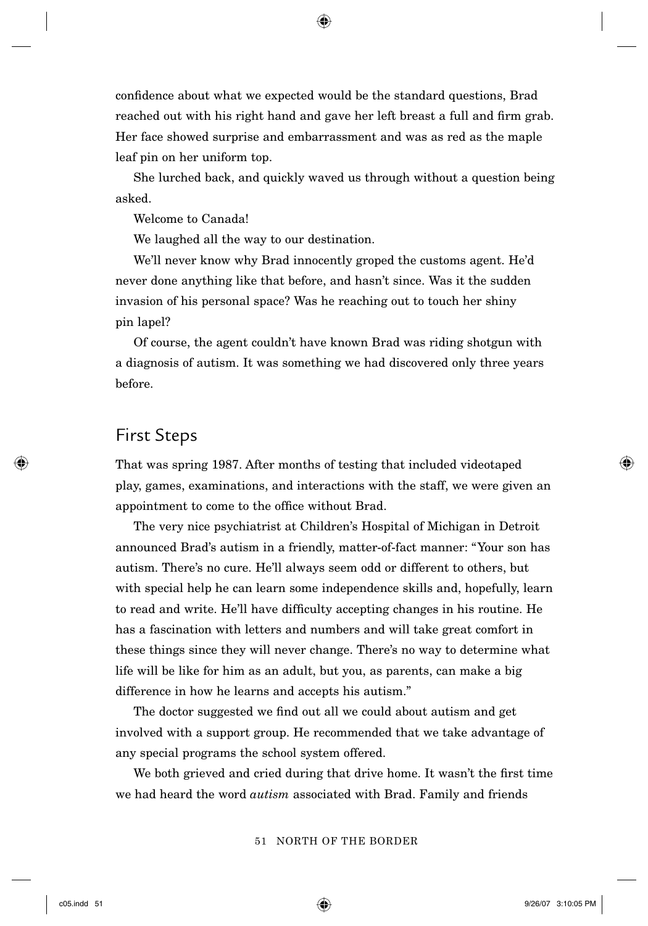confidence about what we expected would be the standard questions, Brad reached out with his right hand and gave her left breast a full and firm grab. Her face showed surprise and embarrassment and was as red as the maple leaf pin on her uniform top.

⊕

She lurched back, and quickly waved us through without a question being asked.

Welcome to Canada!

We laughed all the way to our destination.

We'll never know why Brad innocently groped the customs agent. He'd never done anything like that before, and hasn't since. Was it the sudden invasion of his personal space? Was he reaching out to touch her shiny pin lapel?

Of course, the agent couldn't have known Brad was riding shotgun with a diagnosis of autism. It was something we had discovered only three years before.

## First Steps

That was spring 1987. After months of testing that included videotaped play, games, examinations, and interactions with the staff, we were given an appointment to come to the office without Brad.

The very nice psychiatrist at Children's Hospital of Michigan in Detroit announced Brad's autism in a friendly, matter-of-fact manner: "Your son has autism. There's no cure. He'll always seem odd or different to others, but with special help he can learn some independence skills and, hopefully, learn to read and write. He'll have difficulty accepting changes in his routine. He has a fascination with letters and numbers and will take great comfort in these things since they will never change. There's no way to determine what life will be like for him as an adult, but you, as parents, can make a big difference in how he learns and accepts his autism. "

The doctor suggested we find out all we could about autism and get involved with a support group. He recommended that we take advantage of any special programs the school system offered.

We both grieved and cried during that drive home. It wasn't the first time we had heard the word *autism* associated with Brad. Family and friends

51 NORTH OF THE BORDER

c05.indd 51 9/26/07 3:10:05 PM  $\bigoplus$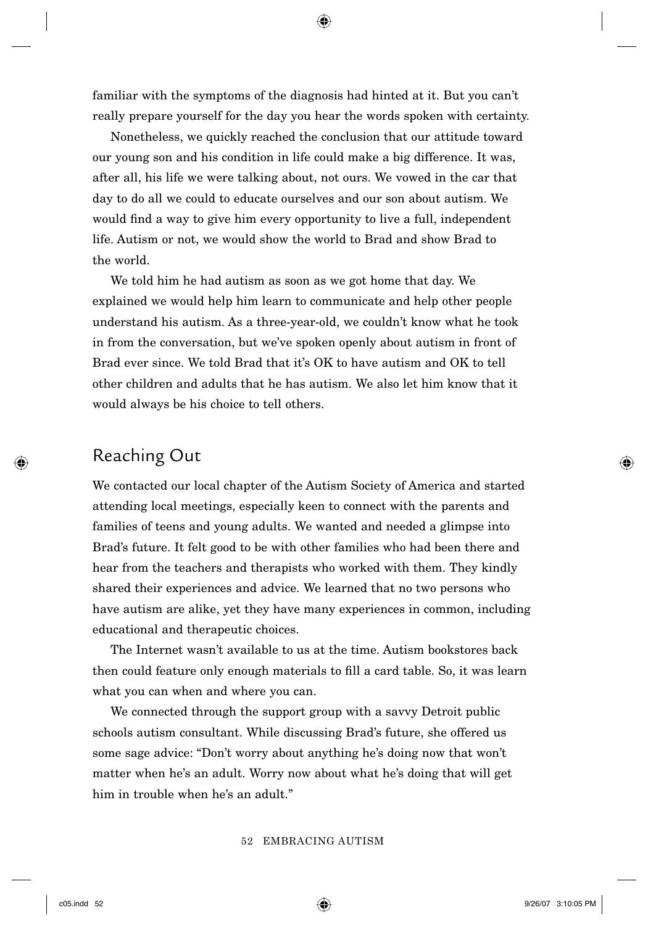familiar with the symptoms of the diagnosis had hinted at it. But you can't really prepare yourself for the day you hear the words spoken with certainty.

⊕

Nonetheless, we quickly reached the conclusion that our attitude toward our young son and his condition in life could make a big difference. It was, after all, his life we were talking about, not ours. We vowed in the car that day to do all we could to educate ourselves and our son about autism. We would find a way to give him every opportunity to live a full, independent life. Autism or not, we would show the world to Brad and show Brad to the world.

We told him he had autism as soon as we got home that day. We explained we would help him learn to communicate and help other people understand his autism. As a three-year-old, we couldn't know what he took in from the conversation, but we've spoken openly about autism in front of Brad ever since. We told Brad that it's OK to have autism and OK to tell other children and adults that he has autism. We also let him know that it would always be his choice to tell others.

## Reaching Out

 $\leftrightarrow$ 

We contacted our local chapter of the Autism Society of America and started attending local meetings, especially keen to connect with the parents and families of teens and young adults. We wanted and needed a glimpse into Brad's future. It felt good to be with other families who had been there and hear from the teachers and therapists who worked with them. They kindly shared their experiences and advice. We learned that no two persons who have autism are alike, yet they have many experiences in common, including educational and therapeutic choices.

The Internet wasn't available to us at the time. Autism bookstores back then could feature only enough materials to fill a card table. So, it was learn what you can when and where you can.

We connected through the support group with a savvy Detroit public schools autism consultant. While discussing Brad's future, she offered us some sage advice: "Don't worry about anything he's doing now that won't matter when he's an adult. Worry now about what he's doing that will get him in trouble when he's an adult."

52 EMBRACING AUTISM

c05.indd 52 05.indd 9/26/07 3:10:05 PM /26/07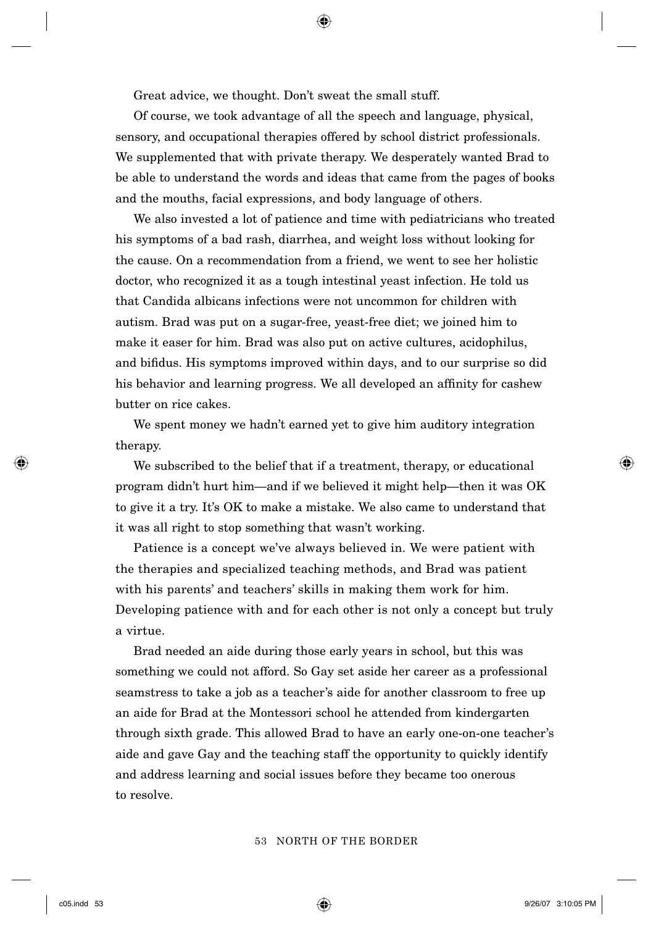Great advice, we thought. Don't sweat the small stuff.

Of course, we took advantage of all the speech and language, physical, sensory, and occupational therapies offered by school district professionals. We supplemented that with private therapy. We desperately wanted Brad to be able to understand the words and ideas that came from the pages of books and the mouths, facial expressions, and body language of others.

⊕

We also invested a lot of patience and time with pediatricians who treated his symptoms of a bad rash, diarrhea, and weight loss without looking for the cause. On a recommendation from a friend, we went to see her holistic doctor, who recognized it as a tough intestinal yeast infection. He told us that Candida albicans infections were not uncommon for children with autism. Brad was put on a sugar-free, yeast-free diet; we joined him to make it easer for him. Brad was also put on active cultures, acidophilus, and bifidus. His symptoms improved within days, and to our surprise so did his behavior and learning progress. We all developed an affinity for cashew butter on rice cakes.

We spent money we hadn't earned yet to give him auditory integration therapy.

We subscribed to the belief that if a treatment, therapy, or educational program didn't hurt him—and if we believed it might help—then it was OK to give it a try. It's OK to make a mistake. We also came to understand that it was all right to stop something that wasn't working.

Patience is a concept we've always believed in. We were patient with the therapies and specialized teaching methods, and Brad was patient with his parents' and teachers' skills in making them work for him. Developing patience with and for each other is not only a concept but truly a virtue.

Brad needed an aide during those early years in school, but this was something we could not afford. So Gay set aside her career as a professional seamstress to take a job as a teacher's aide for another classroom to free up an aide for Brad at the Montessori school he attended from kindergarten through sixth grade. This allowed Brad to have an early one-on-one teacher's aide and gave Gay and the teaching staff the opportunity to quickly identify and address learning and social issues before they became too onerous to resolve.

#### 53 NORTH OF THE BORDER

⇔

c05.indd 53 9/26/07 3:10:05 PM  $\bigoplus$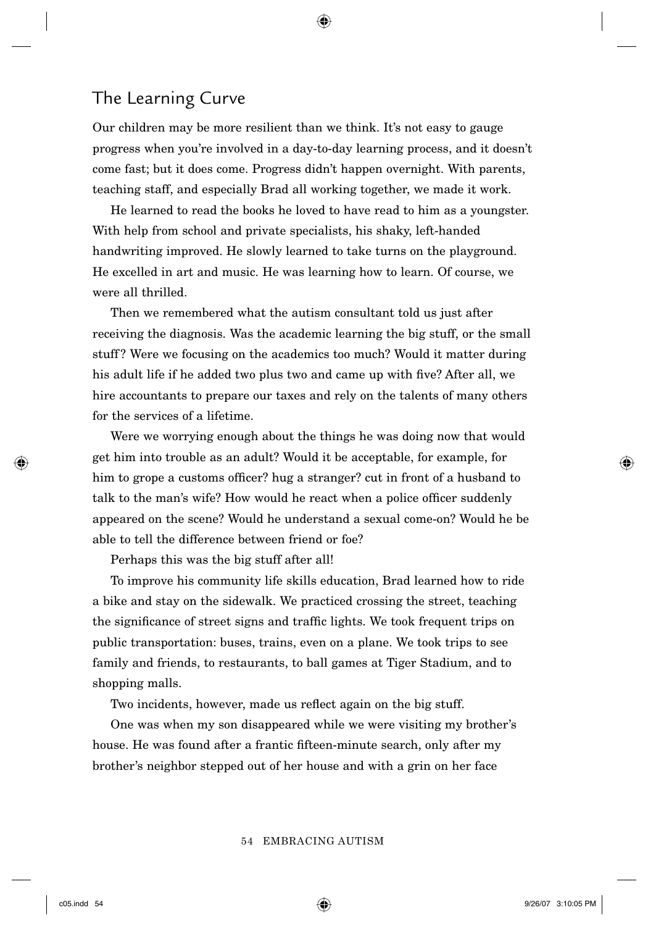## The Learning Curve

Our children may be more resilient than we think. It's not easy to gauge progress when you're involved in a day-to-day learning process, and it doesn't come fast; but it does come. Progress didn't happen overnight. With parents, teaching staff, and especially Brad all working together, we made it work.

⊕

He learned to read the books he loved to have read to him as a youngster. With help from school and private specialists, his shaky, left-handed handwriting improved. He slowly learned to take turns on the playground. He excelled in art and music. He was learning how to learn. Of course, we were all thrilled.

Then we remembered what the autism consultant told us just after receiving the diagnosis. Was the academic learning the big stuff, or the small stuff ? Were we focusing on the academics too much? Would it matter during his adult life if he added two plus two and came up with five? After all, we hire accountants to prepare our taxes and rely on the talents of many others for the services of a lifetime.

Were we worrying enough about the things he was doing now that would get him into trouble as an adult? Would it be acceptable, for example, for him to grope a customs officer? hug a stranger? cut in front of a husband to talk to the man's wife? How would he react when a police officer suddenly appeared on the scene? Would he understand a sexual come-on? Would he be able to tell the difference between friend or foe?

Perhaps this was the big stuff after all!

To improve his community life skills education, Brad learned how to ride a bike and stay on the sidewalk. We practiced crossing the street, teaching the significance of street signs and traffic lights. We took frequent trips on public transportation: buses, trains, even on a plane. We took trips to see family and friends, to restaurants, to ball games at Tiger Stadium, and to shopping malls.

Two incidents, however, made us reflect again on the big stuff.

One was when my son disappeared while we were visiting my brother's house. He was found after a frantic fifteen-minute search, only after my brother's neighbor stepped out of her house and with a grin on her face

#### 54 EMBRACING AUTISM

 $\leftrightarrow$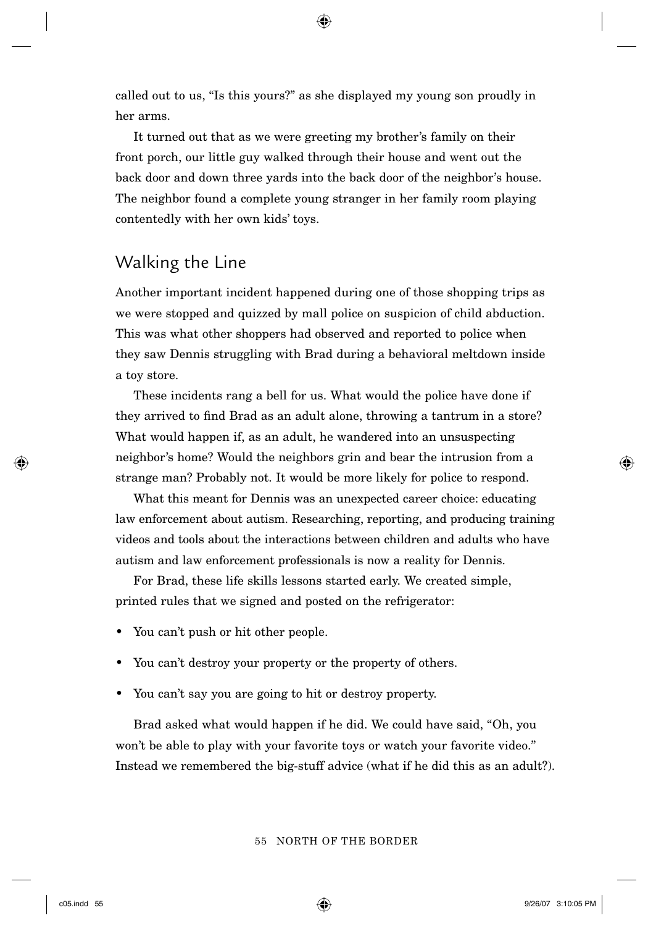called out to us, "Is this yours?" as she displayed my young son proudly in her arms.

⊕

It turned out that as we were greeting my brother's family on their front porch, our little guy walked through their house and went out the back door and down three yards into the back door of the neighbor's house. The neighbor found a complete young stranger in her family room playing contentedly with her own kids' toys.

## Walking the Line

Another important incident happened during one of those shopping trips as we were stopped and quizzed by mall police on suspicion of child abduction. This was what other shoppers had observed and reported to police when they saw Dennis struggling with Brad during a behavioral meltdown inside a toy store.

These incidents rang a bell for us. What would the police have done if they arrived to find Brad as an adult alone, throwing a tantrum in a store? What would happen if, as an adult, he wandered into an unsuspecting neighbor's home? Would the neighbors grin and bear the intrusion from a strange man? Probably not. It would be more likely for police to respond.

What this meant for Dennis was an unexpected career choice: educating law enforcement about autism. Researching, reporting, and producing training videos and tools about the interactions between children and adults who have autism and law enforcement professionals is now a reality for Dennis.

For Brad, these life skills lessons started early. We created simple, printed rules that we signed and posted on the refrigerator:

- You can't push or hit other people.
- You can't destroy your property or the property of others.
- You can't say you are going to hit or destroy property.

Brad asked what would happen if he did. We could have said, " Oh, you won't be able to play with your favorite toys or watch your favorite video." Instead we remembered the big-stuff advice (what if he did this as an adult?).

#### 55 NORTH OF THE BORDER

⇔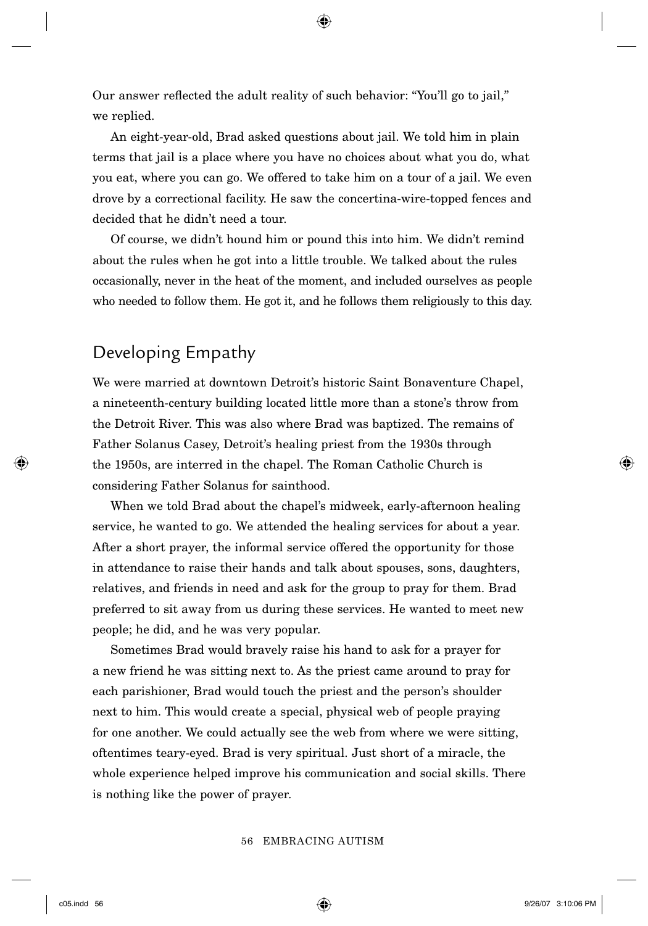Our answer reflected the adult reality of such behavior: "You'll go to jail," we replied.

⊕

An eight-year-old, Brad asked questions about jail. We told him in plain terms that jail is a place where you have no choices about what you do, what you eat, where you can go. We offered to take him on a tour of a jail. We even drove by a correctional facility. He saw the concertina-wire-topped fences and decided that he didn't need a tour.

Of course, we didn't hound him or pound this into him. We didn't remind about the rules when he got into a little trouble. We talked about the rules occasionally, never in the heat of the moment, and included ourselves as people who needed to follow them. He got it, and he follows them religiously to this day.

## Developing Empathy

We were married at downtown Detroit's historic Saint Bonaventure Chapel, a nineteenth-century building located little more than a stone's throw from the Detroit River. This was also where Brad was baptized. The remains of Father Solanus Casey, Detroit's healing priest from the 1930s through the 1950s, are interred in the chapel. The Roman Catholic Church is considering Father Solanus for sainthood.

When we told Brad about the chapel's midweek, early-afternoon healing service, he wanted to go. We attended the healing services for about a year. After a short prayer, the informal service offered the opportunity for those in attendance to raise their hands and talk about spouses, sons, daughters, relatives, and friends in need and ask for the group to pray for them. Brad preferred to sit away from us during these services. He wanted to meet new people; he did, and he was very popular.

Sometimes Brad would bravely raise his hand to ask for a prayer for a new friend he was sitting next to. As the priest came around to pray for each parishioner, Brad would touch the priest and the person's shoulder next to him. This would create a special, physical web of people praying for one another. We could actually see the web from where we were sitting, oftentimes teary - eyed. Brad is very spiritual. Just short of a miracle, the whole experience helped improve his communication and social skills. There is nothing like the power of prayer.

#### 56 EMBRACING AUTISM

⇔

c05.indd 56 05.indd 9/26/07 3:10:06 PM /26/07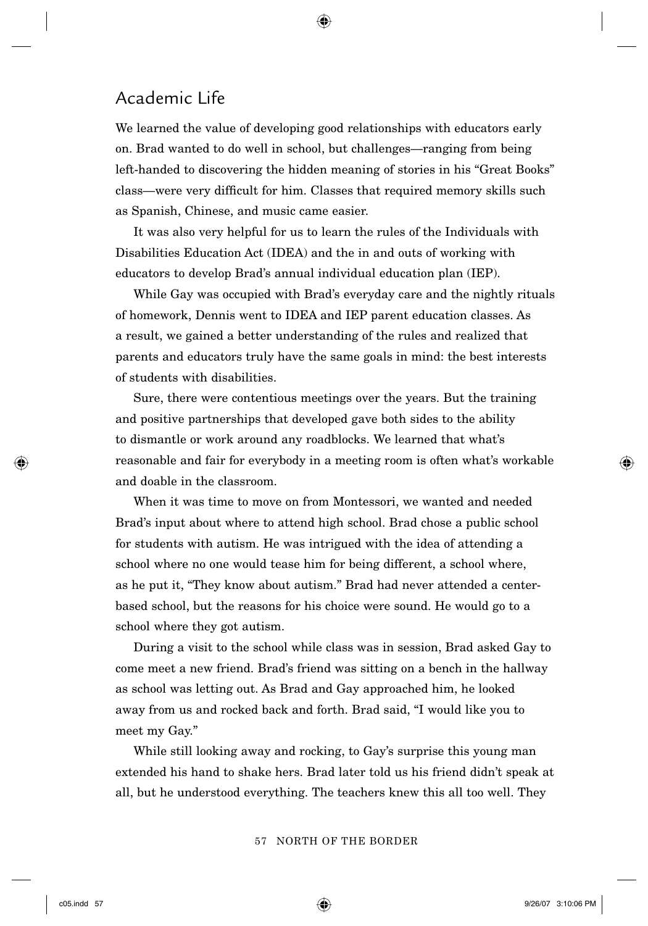## Academic Life

We learned the value of developing good relationships with educators early on. Brad wanted to do well in school, but challenges — ranging from being left-handed to discovering the hidden meaning of stories in his "Great Books" class—were very difficult for him. Classes that required memory skills such as Spanish, Chinese, and music came easier.

It was also very helpful for us to learn the rules of the Individuals with Disabilities Education Act (IDEA) and the in and outs of working with educators to develop Brad's annual individual education plan (IEP).

While Gay was occupied with Brad's everyday care and the nightly rituals of homework, Dennis went to IDEA and IEP parent education classes. As a result, we gained a better understanding of the rules and realized that parents and educators truly have the same goals in mind: the best interests of students with disabilities.

Sure, there were contentious meetings over the years. But the training and positive partnerships that developed gave both sides to the ability to dismantle or work around any roadblocks. We learned that what's reasonable and fair for everybody in a meeting room is often what's workable and doable in the classroom.

When it was time to move on from Montessori, we wanted and needed Brad's input about where to attend high school. Brad chose a public school for students with autism. He was intrigued with the idea of attending a school where no one would tease him for being different, a school where, as he put it, "They know about autism." Brad had never attended a centerbased school, but the reasons for his choice were sound. He would go to a school where they got autism.

During a visit to the school while class was in session, Brad asked Gay to come meet a new friend. Brad's friend was sitting on a bench in the hallway as school was letting out. As Brad and Gay approached him, he looked away from us and rocked back and forth. Brad said, "I would like you to meet my Gay. "

While still looking away and rocking, to Gay's surprise this young man extended his hand to shake hers. Brad later told us his friend didn't speak at all, but he understood everything. The teachers knew this all too well. They

57 NORTH OF THE BORDER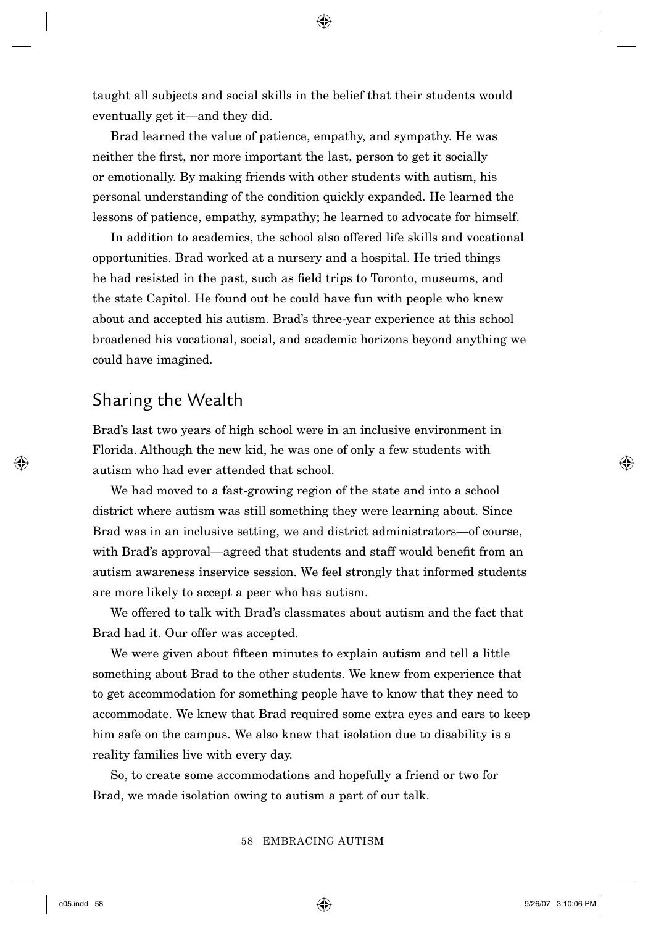taught all subjects and social skills in the belief that their students would eventually get it—and they did.

Brad learned the value of patience, empathy, and sympathy. He was neither the first, nor more important the last, person to get it socially or emotionally. By making friends with other students with autism, his personal understanding of the condition quickly expanded. He learned the lessons of patience, empathy, sympathy; he learned to advocate for himself.

In addition to academics, the school also offered life skills and vocational opportunities. Brad worked at a nursery and a hospital. He tried things he had resisted in the past, such as field trips to Toronto, museums, and the state Capitol. He found out he could have fun with people who knew about and accepted his autism. Brad's three-year experience at this school broadened his vocational, social, and academic horizons beyond anything we could have imagined.

## Sharing the Wealth

Brad's last two years of high school were in an inclusive environment in Florida. Although the new kid, he was one of only a few students with autism who had ever attended that school.

We had moved to a fast-growing region of the state and into a school district where autism was still something they were learning about. Since Brad was in an inclusive setting, we and district administrators—of course, with Brad's approval—agreed that students and staff would benefit from an autism awareness inservice session. We feel strongly that informed students are more likely to accept a peer who has autism.

We offered to talk with Brad's classmates about autism and the fact that Brad had it. Our offer was accepted.

We were given about fifteen minutes to explain autism and tell a little something about Brad to the other students. We knew from experience that to get accommodation for something people have to know that they need to accommodate. We knew that Brad required some extra eyes and ears to keep him safe on the campus. We also knew that isolation due to disability is a reality families live with every day.

So, to create some accommodations and hopefully a friend or two for Brad, we made isolation owing to autism a part of our talk.

### 58 EMBRACING AUTISM

c05.indd 58 05.indd 9/26/07 3:10:06 PM /26/07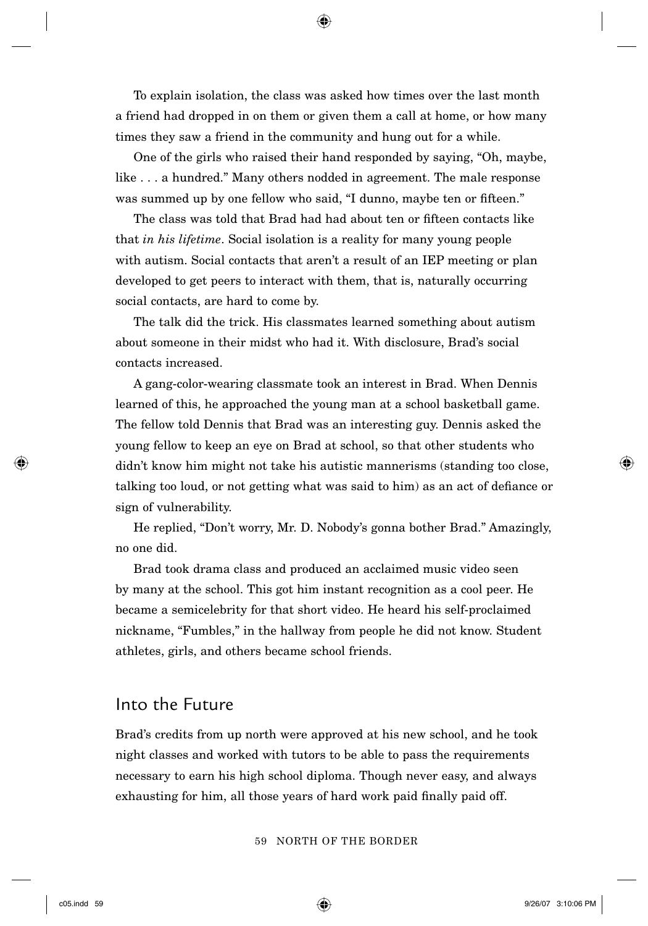To explain isolation, the class was asked how times over the last month a friend had dropped in on them or given them a call at home, or how many times they saw a friend in the community and hung out for a while.

⊕

One of the girls who raised their hand responded by saying, "Oh, maybe, like ... a hundred." Many others nodded in agreement. The male response was summed up by one fellow who said, "I dunno, maybe ten or fifteen."

The class was told that Brad had had about ten or fifteen contacts like that *in his lifetime*. Social isolation is a reality for many young people with autism. Social contacts that aren't a result of an IEP meeting or plan developed to get peers to interact with them, that is, naturally occurring social contacts, are hard to come by.

The talk did the trick. His classmates learned something about autism about someone in their midst who had it. With disclosure, Brad's social contacts increased.

A gang-color-wearing classmate took an interest in Brad. When Dennis learned of this, he approached the young man at a school basketball game. The fellow told Dennis that Brad was an interesting guy. Dennis asked the young fellow to keep an eye on Brad at school, so that other students who didn't know him might not take his autistic mannerisms (standing too close, talking too loud, or not getting what was said to him) as an act of defiance or sign of vulnerability.

He replied, "Don't worry, Mr. D. Nobody's gonna bother Brad." Amazingly, no one did.

Brad took drama class and produced an acclaimed music video seen by many at the school. This got him instant recognition as a cool peer. He became a semicelebrity for that short video. He heard his self-proclaimed nickname, "Fumbles," in the hallway from people he did not know. Student athletes, girls, and others became school friends.

## Into the Future

Brad's credits from up north were approved at his new school, and he took night classes and worked with tutors to be able to pass the requirements necessary to earn his high school diploma. Though never easy, and always exhausting for him, all those years of hard work paid finally paid off.

59 NORTH OF THE BORDER

⇔